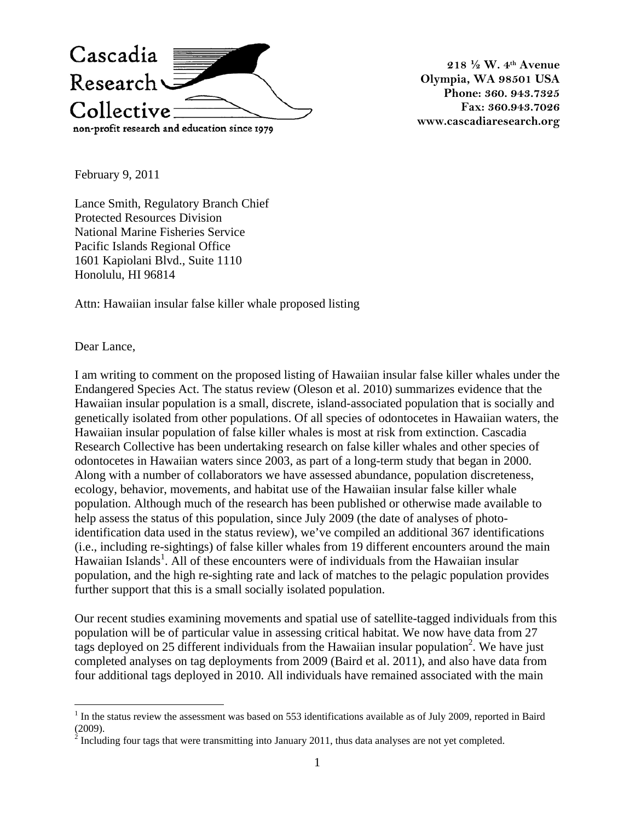

**218 ½ W. 4th Avenue Olympia, WA 98501 USA Phone: 360. 943.7325 Fax: 360.943.7026 www.cascadiaresearch.org** 

February 9, 2011

Lance Smith, Regulatory Branch Chief Protected Resources Division National Marine Fisheries Service Pacific Islands Regional Office 1601 Kapiolani Blvd., Suite 1110 Honolulu, HI 96814

Attn: Hawaiian insular false killer whale proposed listing

Dear Lance,

I am writing to comment on the proposed listing of Hawaiian insular false killer whales under the Endangered Species Act. The status review (Oleson et al. 2010) summarizes evidence that the Hawaiian insular population is a small, discrete, island-associated population that is socially and genetically isolated from other populations. Of all species of odontocetes in Hawaiian waters, the Hawaiian insular population of false killer whales is most at risk from extinction. Cascadia Research Collective has been undertaking research on false killer whales and other species of odontocetes in Hawaiian waters since 2003, as part of a long-term study that began in 2000. Along with a number of collaborators we have assessed abundance, population discreteness, ecology, behavior, movements, and habitat use of the Hawaiian insular false killer whale population. Although much of the research has been published or otherwise made available to help assess the status of this population, since July 2009 (the date of analyses of photoidentification data used in the status review), we've compiled an additional 367 identifications (i.e., including re-sightings) of false killer whales from 19 different encounters around the main Hawaiian Islands<sup>1</sup>. All of these encounters were of individuals from the Hawaiian insular population, and the high re-sighting rate and lack of matches to the pelagic population provides further support that this is a small socially isolated population.

Our recent studies examining movements and spatial use of satellite-tagged individuals from this population will be of particular value in assessing critical habitat. We now have data from 27 tags deployed on 25 different individuals from the Hawaiian insular population<sup>2</sup>. We have just completed analyses on tag deployments from 2009 (Baird et al. 2011), and also have data from four additional tags deployed in 2010. All individuals have remained associated with the main

<sup>&</sup>lt;sup>1</sup> In the status review the assessment was based on 553 identifications available as of July 2009, reported in Baird

<sup>(2009).&</sup>lt;br><sup>2</sup> Including four tags that were transmitting into January 2011, thus data analyses are not yet completed.